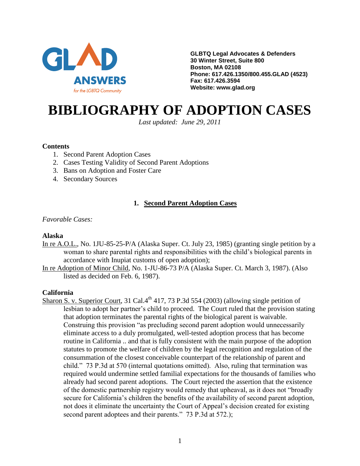

**GLBTQ Legal Advocates & Defenders 30 Winter Street, Suite 800 Boston, MA 02108 Phone: 617.426.1350/800.455.GLAD (4523) Fax: 617.426.3594 Website: www.glad.org**

# **BIBLIOGRAPHY OF ADOPTION CASES**

*Last updated: June 29, 2011*

#### **Contents**

- 1. Second Parent Adoption Cases
- 2. Cases Testing Validity of Second Parent Adoptions
- 3. Bans on Adoption and Foster Care
- 4. Secondary Sources

# **1. Second Parent Adoption Cases**

*Favorable Cases:*

#### **Alaska**

- In re A.O.L., No. 1JU-85-25-P/A (Alaska Super. Ct. July 23, 1985) (granting single petition by a woman to share parental rights and responsibilities with the child's biological parents in accordance with Inupiat customs of open adoption);
- In re Adoption of Minor Child, No. 1-JU-86-73 P/A (Alaska Super. Ct. March 3, 1987). (Also listed as decided on Feb. 6, 1987).

#### **California**

Sharon S. v. Superior Court, 31 Cal.4<sup>th</sup> 417, 73 P.3d 554 (2003) (allowing single petition of lesbian to adopt her partner's child to proceed. The Court ruled that the provision stating that adoption terminates the parental rights of the biological parent is waivable. Construing this provision "as precluding second parent adoption would unnecessarily eliminate access to a duly promulgated, well-tested adoption process that has become routine in California .. and that is fully consistent with the main purpose of the adoption statutes to promote the welfare of children by the legal recognition and regulation of the consummation of the closest conceivable counterpart of the relationship of parent and child." 73 P.3d at 570 (internal quotations omitted). Also, ruling that termination was required would undermine settled familial expectations for the thousands of families who already had second parent adoptions. The Court rejected the assertion that the existence of the domestic partnership registry would remedy that upheaval, as it does not "broadly secure for California's children the benefits of the availability of second parent adoption, not does it eliminate the uncertainty the Court of Appeal's decision created for existing second parent adoptees and their parents." 73 P.3d at 572.);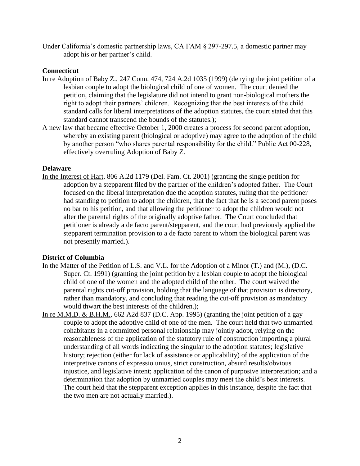Under California's domestic partnership laws, CA FAM § 297-297.5, a domestic partner may adopt his or her partner's child.

## **Connecticut**

- In re Adoption of Baby Z., 247 Conn. 474, 724 A.2d 1035 (1999) (denying the joint petition of a lesbian couple to adopt the biological child of one of women. The court denied the petition, claiming that the legislature did not intend to grant non-biological mothers the right to adopt their partners' children. Recognizing that the best interests of the child standard calls for liberal interpretations of the adoption statutes, the court stated that this standard cannot transcend the bounds of the statutes.);
- A new law that became effective October 1, 2000 creates a process for second parent adoption, whereby an existing parent (biological or adoptive) may agree to the adoption of the child by another person "who shares parental responsibility for the child." Public Act 00-228, effectively overruling Adoption of Baby Z.

## **Delaware**

In the Interest of Hart, 806 A.2d 1179 (Del. Fam. Ct. 2001) (granting the single petition for adoption by a stepparent filed by the partner of the children's adopted father. The Court focused on the liberal interpretation due the adoption statutes, ruling that the petitioner had standing to petition to adopt the children, that the fact that he is a second parent poses no bar to his petition, and that allowing the petitioner to adopt the children would not alter the parental rights of the originally adoptive father. The Court concluded that petitioner is already a de facto parent/stepparent, and the court had previously applied the stepparent termination provision to a de facto parent to whom the biological parent was not presently married.).

# **District of Columbia**

- In the Matter of the Petition of L.S. and V.L. for the Adoption of a Minor (T.) and (M.), (D.C. Super. Ct. 1991) (granting the joint petition by a lesbian couple to adopt the biological child of one of the women and the adopted child of the other. The court waived the parental rights cut-off provision, holding that the language of that provision is directory, rather than mandatory, and concluding that reading the cut-off provision as mandatory would thwart the best interests of the children.);
- In re M.M.D. & B.H.M., 662 A2d 837 (D.C. App. 1995) (granting the joint petition of a gay couple to adopt the adoptive child of one of the men. The court held that two unmarried cohabitants in a committed personal relationship may jointly adopt, relying on the reasonableness of the application of the statutory rule of construction importing a plural understanding of all words indicating the singular to the adoption statutes; legislative history; rejection (either for lack of assistance or applicability) of the application of the interpretive canons of expressio unius, strict construction, absurd results/obvious injustice, and legislative intent; application of the canon of purposive interpretation; and a determination that adoption by unmarried couples may meet the child's best interests. The court held that the stepparent exception applies in this instance, despite the fact that the two men are not actually married.).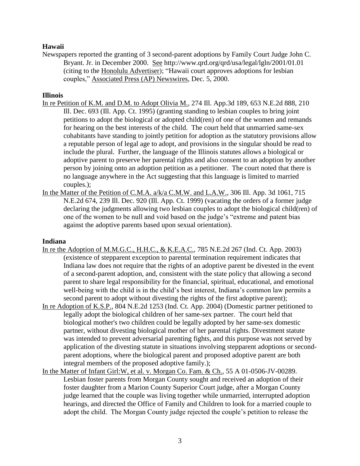# **Hawaii**

Newspapers reported the granting of 3 second-parent adoptions by Family Court Judge John C. Bryant. Jr. in December 2000. See http://www.qrd.org/qrd/usa/legal/lgln/2001/01.01 (citing to the Honolulu Advertiser); "Hawaii court approves adoptions for lesbian couples," Associated Press (AP) Newswires, Dec. 5, 2000.

## **Illinois**

- In re Petition of K.M. and D.M. to Adopt Olivia M., 274 Ill. App.3d 189, 653 N.E.2d 888, 210 Ill. Dec. 693 (Ill. App. Ct. 1995) (granting standing to lesbian couples to bring joint petitions to adopt the biological or adopted child(ren) of one of the women and remands for hearing on the best interests of the child. The court held that unmarried same-sex cohabitants have standing to jointly petition for adoption as the statutory provisions allow a reputable person of legal age to adopt, and provisions in the singular should be read to include the plural. Further, the language of the Illinois statutes allows a biological or adoptive parent to preserve her parental rights and also consent to an adoption by another person by joining onto an adoption petition as a petitioner. The court noted that there is no language anywhere in the Act suggesting that this language is limited to married couples.);
- In the Matter of the Petition of C.M.A. a/k/a C.M.W. and L.A.W., 306 Ill. App. 3d 1061, 715 N.E.2d 674, 239 Ill. Dec. 920 (Ill. App. Ct. 1999) (vacating the orders of a former judge declaring the judgments allowing two lesbian couples to adopt the biological child(ren) of one of the women to be null and void based on the judge's "extreme and patent bias against the adoptive parents based upon sexual orientation).

## **Indiana**

- In re the Adoption of M.M.G.C., H.H.C., & K.E.A.C., 785 N.E.2d 267 (Ind. Ct. App. 2003) (existence of stepparent exception to parental termination requirement indicates that Indiana law does not require that the rights of an adoptive parent be divested in the event of a second-parent adoption, and, consistent with the state policy that allowing a second parent to share legal responsibility for the financial, spiritual, educational, and emotional well-being with the child is in the child's best interest, Indiana's common law permits a second parent to adopt without divesting the rights of the first adoptive parent);
- In re Adoption of K.S.P., 804 N.E.2d 1253 (Ind. Ct. App. 2004) (Domestic partner petitioned to legally adopt the biological children of her same-sex partner. The court held that biological mother's two children could be legally adopted by her same-sex domestic partner, without divesting biological mother of her parental rights. Divestment statute was intended to prevent adversarial parenting fights, and this purpose was not served by application of the divesting statute in situations involving stepparent adoptions or secondparent adoptions, where the biological parent and proposed adoptive parent are both integral members of the proposed adoptive family.);
- In the Matter of Infant Girl:W, et al. v. Morgan Co. Fam. & Ch., 55 A 01-0506-JV-00289. Lesbian foster parents from Morgan County sought and received an adoption of their foster daughter from a Marion County Superior Court judge, after a Morgan County judge learned that the couple was living together while unmarried, interrupted adoption hearings, and directed the Office of Family and Children to look for a married couple to adopt the child. The Morgan County judge rejected the couple's petition to release the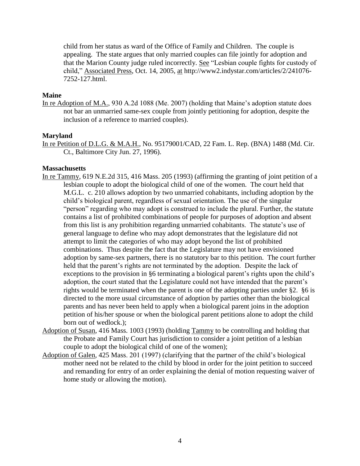child from her status as ward of the Office of Family and Children. The couple is appealing. The state argues that only married couples can file jointly for adoption and that the Marion County judge ruled incorrectly. See "Lesbian couple fights for custody of child," Associated Press, Oct. 14, 2005, at http://www2.indystar.com/articles/2/241076- 7252-127.html.

#### **Maine**

In re Adoption of M.A., 930 A.2d 1088 (Me. 2007) (holding that Maine's adoption statute does not bar an unmarried same-sex couple from jointly petitioning for adoption, despite the inclusion of a reference to married couples).

#### **Maryland**

In re Petition of D.L.G. & M.A.H., No. 95179001/CAD, 22 Fam. L. Rep. (BNA) 1488 (Md. Cir. Ct., Baltimore City Jun. 27, 1996).

#### **Massachusetts**

- In re Tammy, 619 N.E.2d 315, 416 Mass. 205 (1993) (affirming the granting of joint petition of a lesbian couple to adopt the biological child of one of the women. The court held that M.G.L. c. 210 allows adoption by two unmarried cohabitants, including adoption by the child's biological parent, regardless of sexual orientation. The use of the singular "person" regarding who may adopt is construed to include the plural. Further, the statute contains a list of prohibited combinations of people for purposes of adoption and absent from this list is any prohibition regarding unmarried cohabitants. The statute's use of general language to define who may adopt demonstrates that the legislature did not attempt to limit the categories of who may adopt beyond the list of prohibited combinations. Thus despite the fact that the Legislature may not have envisioned adoption by same-sex partners, there is no statutory bar to this petition. The court further held that the parent's rights are not terminated by the adoption. Despite the lack of exceptions to the provision in §6 terminating a biological parent's rights upon the child's adoption, the court stated that the Legislature could not have intended that the parent's rights would be terminated when the parent is one of the adopting parties under §2. §6 is directed to the more usual circumstance of adoption by parties other than the biological parents and has never been held to apply when a biological parent joins in the adoption petition of his/her spouse or when the biological parent petitions alone to adopt the child born out of wedlock.);
- Adoption of Susan, 416 Mass. 1003 (1993) (holding Tammy to be controlling and holding that the Probate and Family Court has jurisdiction to consider a joint petition of a lesbian couple to adopt the biological child of one of the women);
- Adoption of Galen, 425 Mass. 201 (1997) (clarifying that the partner of the child's biological mother need not be related to the child by blood in order for the joint petition to succeed and remanding for entry of an order explaining the denial of motion requesting waiver of home study or allowing the motion).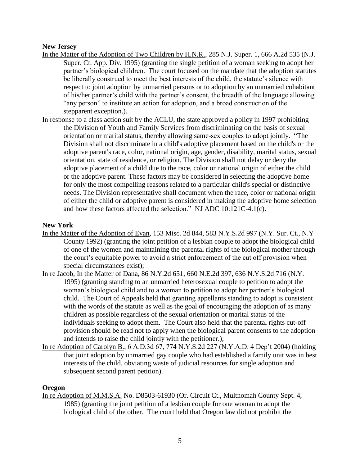# **New Jersey**

- In the Matter of the Adoption of Two Children by H.N.R., 285 N.J. Super. 1, 666 A.2d 535 (N.J. Super. Ct. App. Div. 1995) (granting the single petition of a woman seeking to adopt her partner's biological children. The court focused on the mandate that the adoption statutes be liberally construed to meet the best interests of the child, the statute's silence with respect to joint adoption by unmarried persons or to adoption by an unmarried cohabitant of his/her partner's child with the partner's consent, the breadth of the language allowing "any person" to institute an action for adoption, and a broad construction of the stepparent exception.).
- In response to a class action suit by the ACLU, the state approved a policy in 1997 prohibiting the Division of Youth and Family Services from discriminating on the basis of sexual orientation or marital status, thereby allowing same-sex couples to adopt jointly. "The Division shall not discriminate in a child's adoptive placement based on the child's or the adoptive parent's race, color, national origin, age, gender, disability, marital status, sexual orientation, state of residence, or religion. The Division shall not delay or deny the adoptive placement of a child due to the race, color or national origin of either the child or the adoptive parent. These factors may be considered in selecting the adoptive home for only the most compelling reasons related to a particular child's special or distinctive needs. The Division representative shall document when the race, color or national origin of either the child or adoptive parent is considered in making the adoptive home selection and how these factors affected the selection." NJ ADC 10:121C-4.1(c).

## **New York**

- In the Matter of the Adoption of Evan, 153 Misc. 2d 844, 583 N.Y.S.2d 997 (N.Y. Sur. Ct., N.Y County 1992) (granting the joint petition of a lesbian couple to adopt the biological child of one of the women and maintaining the parental rights of the biological mother through the court's equitable power to avoid a strict enforcement of the cut off provision when special circumstances exist);
- In re Jacob, In the Matter of Dana, 86 N.Y.2d 651, 660 N.E.2d 397, 636 N.Y.S.2d 716 (N.Y. 1995) (granting standing to an unmarried heterosexual couple to petition to adopt the woman's biological child and to a woman to petition to adopt her partner's biological child. The Court of Appeals held that granting appellants standing to adopt is consistent with the words of the statute as well as the goal of encouraging the adoption of as many children as possible regardless of the sexual orientation or marital status of the individuals seeking to adopt them. The Court also held that the parental rights cut-off provision should be read not to apply when the biological parent consents to the adoption and intends to raise the child jointly with the petitioner.);
- In re Adoption of Carolyn B., 6 A.D.3d 67, 774 N.Y.S.2d 227 (N.Y.A.D. 4 Dep't 2004) (holding that joint adoption by unmarried gay couple who had established a family unit was in best interests of the child, obviating waste of judicial resources for single adoption and subsequent second parent petition).

## **Oregon**

In re Adoption of M.M.S.A. No. D8503-61930 (Or. Circuit Ct., Multnomah County Sept. 4, 1985) (granting the joint petition of a lesbian couple for one woman to adopt the biological child of the other. The court held that Oregon law did not prohibit the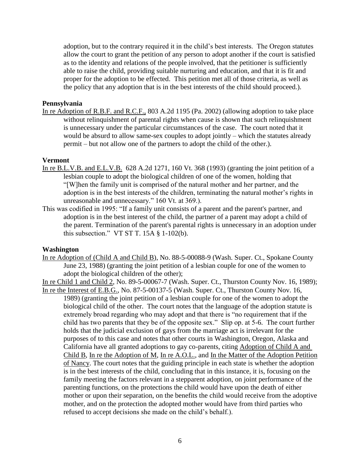adoption, but to the contrary required it in the child's best interests. The Oregon statutes allow the court to grant the petition of any person to adopt another if the court is satisfied as to the identity and relations of the people involved, that the petitioner is sufficiently able to raise the child, providing suitable nurturing and education, and that it is fit and proper for the adoption to be effected. This petition met all of those criteria, as well as the policy that any adoption that is in the best interests of the child should proceed.).

#### **Pennsylvania**

In re Adoption of R.B.F. and R.C.F., 803 A.2d 1195 (Pa. 2002) (allowing adoption to take place without relinquishment of parental rights when cause is shown that such relinquishment is unnecessary under the particular circumstances of the case. The court noted that it would be absurd to allow same-sex couples to adopt jointly – which the statutes already permit – but not allow one of the partners to adopt the child of the other.).

#### **Vermont**

- In re B.L.V.B. and E.L.V.B. 628 A.2d 1271, 160 Vt. 368 (1993) (granting the joint petition of a lesbian couple to adopt the biological children of one of the women, holding that "[W]hen the family unit is comprised of the natural mother and her partner, and the adoption is in the best interests of the children, terminating the natural mother's rights in unreasonable and unnecessary." 160 Vt. at 369.).
- This was codified in 1995: "If a family unit consists of a parent and the parent's partner, and adoption is in the best interest of the child, the partner of a parent may adopt a child of the parent. Termination of the parent's parental rights is unnecessary in an adoption under this subsection." VT ST T.  $15A \S 1-102(b)$ .

#### **Washington**

In re Adoption of (Child A and Child B), No. 88-5-00088-9 (Wash. Super. Ct., Spokane County June 23, 1988) (granting the joint petition of a lesbian couple for one of the women to adopt the biological children of the other);

In re Child 1 and Child 2, No. 89-5-00067-7 (Wash. Super. Ct., Thurston County Nov. 16, 1989);

In re the Interest of E.B.G., No. 87-5-00137-5 (Wash. Super. Ct., Thurston County Nov. 16, 1989) (granting the joint petition of a lesbian couple for one of the women to adopt the biological child of the other. The court notes that the language of the adoption statute is extremely broad regarding who may adopt and that there is "no requirement that if the child has two parents that they be of the opposite sex." Slip op. at 5-6. The court further holds that the judicial exclusion of gays from the marriage act is irrelevant for the purposes of to this case and notes that other courts in Washington, Oregon, Alaska and California have all granted adoptions to gay co-parents, citing Adoption of Child A and Child B, In re the Adoption of M, In re A.O.L., and In the Matter of the Adoption Petition of Nancy. The court notes that the guiding principle in each state is whether the adoption is in the best interests of the child, concluding that in this instance, it is, focusing on the family meeting the factors relevant in a stepparent adoption, on joint performance of the parenting functions, on the protections the child would have upon the death of either mother or upon their separation, on the benefits the child would receive from the adoptive mother, and on the protection the adopted mother would have from third parties who refused to accept decisions she made on the child's behalf.).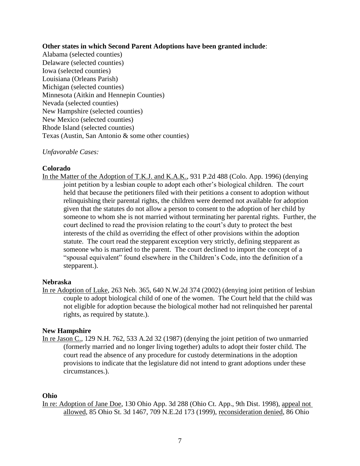## **Other states in which Second Parent Adoptions have been granted include**:

Alabama (selected counties) Delaware (selected counties) Iowa (selected counties) Louisiana (Orleans Parish) Michigan (selected counties) Minnesota (Aitkin and Hennepin Counties) Nevada (selected counties) New Hampshire (selected counties) New Mexico (selected counties) Rhode Island (selected counties) Texas (Austin, San Antonio & some other counties)

## *Unfavorable Cases:*

## **Colorado**

In the Matter of the Adoption of T.K.J. and K.A.K., 931 P.2d 488 (Colo. App. 1996) (denying joint petition by a lesbian couple to adopt each other's biological children. The court held that because the petitioners filed with their petitions a consent to adoption without relinquishing their parental rights, the children were deemed not available for adoption given that the statutes do not allow a person to consent to the adoption of her child by someone to whom she is not married without terminating her parental rights. Further, the court declined to read the provision relating to the court's duty to protect the best interests of the child as overriding the effect of other provisions within the adoption statute. The court read the stepparent exception very strictly, defining stepparent as someone who is married to the parent. The court declined to import the concept of a "spousal equivalent" found elsewhere in the Children's Code, into the definition of a stepparent.).

#### **Nebraska**

In re Adoption of Luke, 263 Neb. 365, 640 N.W.2d 374 (2002) (denying joint petition of lesbian couple to adopt biological child of one of the women. The Court held that the child was not eligible for adoption because the biological mother had not relinquished her parental rights, as required by statute.).

## **New Hampshire**

In re Jason C., 129 N.H. 762, 533 A.2d 32 (1987) (denying the joint petition of two unmarried (formerly married and no longer living together) adults to adopt their foster child. The court read the absence of any procedure for custody determinations in the adoption provisions to indicate that the legislature did not intend to grant adoptions under these circumstances.).

#### **Ohio**

In re: Adoption of Jane Doe, 130 Ohio App. 3d 288 (Ohio Ct. App., 9th Dist. 1998), appeal not allowed, 85 Ohio St. 3d 1467, 709 N.E.2d 173 (1999), reconsideration denied, 86 Ohio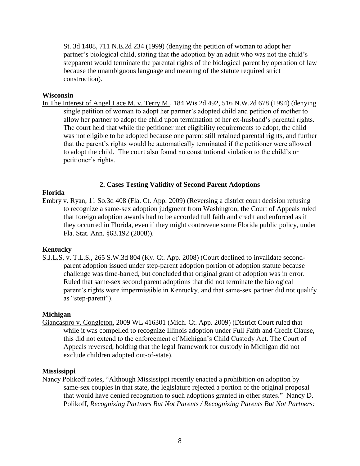St. 3d 1408, 711 N.E.2d 234 (1999) (denying the petition of woman to adopt her partner's biological child, stating that the adoption by an adult who was not the child's stepparent would terminate the parental rights of the biological parent by operation of law because the unambiguous language and meaning of the statute required strict construction).

## **Wisconsin**

In The Interest of Angel Lace M. v. Terry M., 184 Wis.2d 492, 516 N.W.2d 678 (1994) (denying single petition of woman to adopt her partner's adopted child and petition of mother to allow her partner to adopt the child upon termination of her ex-husband's parental rights. The court held that while the petitioner met eligibility requirements to adopt, the child was not eligible to be adopted because one parent still retained parental rights, and further that the parent's rights would be automatically terminated if the petitioner were allowed to adopt the child. The court also found no constitutional violation to the child's or petitioner's rights.

# **2. Cases Testing Validity of Second Parent Adoptions**

# **Florida**

Embry v. Ryan, 11 So.3d 408 (Fla. Ct. App. 2009) (Reversing a district court decision refusing to recognize a same-sex adoption judgment from Washington, the Court of Appeals ruled that foreign adoption awards had to be accorded full faith and credit and enforced as if they occurred in Florida, even if they might contravene some Florida public policy, under Fla. Stat. Ann. §63.192 (2008)).

# **Kentucky**

S.J.L.S. v. T.L.S., 265 S.W.3d 804 (Ky. Ct. App. 2008) (Court declined to invalidate secondparent adoption issued under step-parent adoption portion of adoption statute because challenge was time-barred, but concluded that original grant of adoption was in error. Ruled that same-sex second parent adoptions that did not terminate the biological parent's rights were impermissible in Kentucky, and that same-sex partner did not qualify as "step-parent").

## **Michigan**

Giancaspro v. Congleton, 2009 WL 416301 (Mich. Ct. App. 2009) (District Court ruled that while it was compelled to recognize Illinois adoption under Full Faith and Credit Clause, this did not extend to the enforcement of Michigan's Child Custody Act. The Court of Appeals reversed, holding that the legal framework for custody in Michigan did not exclude children adopted out-of-state).

## **Mississippi**

Nancy Polikoff notes, "Although Mississippi recently enacted a prohibition on adoption by same-sex couples in that state, the legislature rejected a portion of the original proposal that would have denied recognition to such adoptions granted in other states." Nancy D. Polikoff, *Recognizing Partners But Not Parents / Recognizing Parents But Not Partners:*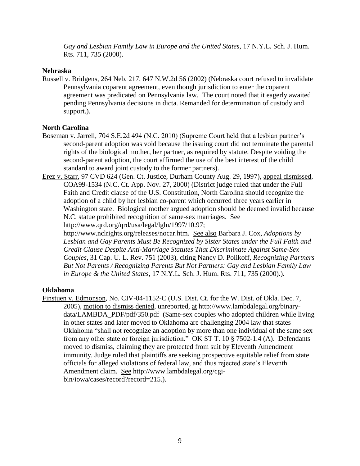*Gay and Lesbian Family Law in Europe and the United States*, 17 N.Y.L. Sch. J. Hum. Rts. 711, 735 (2000).

## **Nebraska**

Russell v. Bridgens, 264 Neb. 217, 647 N.W.2d 56 (2002) (Nebraska court refused to invalidate Pennsylvania coparent agreement, even though jurisdiction to enter the coparent agreement was predicated on Pennsylvania law. The court noted that it eagerly awaited pending Pennsylvania decisions in dicta. Remanded for determination of custody and support.).

# **North Carolina**

- Boseman v. Jarrell, 704 S.E.2d 494 (N.C. 2010) (Supreme Court held that a lesbian partner's second-parent adoption was void because the issuing court did not terminate the parental rights of the biological mother, her partner, as required by statute. Despite voiding the second-parent adoption, the court affirmed the use of the best interest of the child standard to award joint custody to the former partners).
- Erez v. Starr, 97 CVD 624 (Gen. Ct. Justice, Durham County Aug. 29, 1997), appeal dismissed, COA99-1534 (N.C. Ct. App. Nov. 27, 2000) (District judge ruled that under the Full Faith and Credit clause of the U.S. Constitution, North Carolina should recognize the adoption of a child by her lesbian co-parent which occurred three years earlier in Washington state. Biological mother argued adoption should be deemed invalid because N.C. statue prohibited recognition of same-sex marriages. See http://www.qrd.org/qrd/usa/legal/lgln/1997/10.97;

http://www.nclrights.org/releases/nocar.htm. See also Barbara J. Cox, *Adoptions by Lesbian and Gay Parents Must Be Recognized by Sister States under the Full Faith and Credit Clause Despite Anti-Marriage Statutes That Discriminate Against Same-Sex Couples*, 31 Cap. U. L. Rev. 751 (2003), citing Nancy D. Polikoff, *Recognizing Partners But Not Parents / Recognizing Parents But Not Partners: Gay and Lesbian Family Law in Europe & the United States*, 17 N.Y.L. Sch. J. Hum. Rts. 711, 735 (2000).).

## **Oklahoma**

Finstuen v. Edmonson, No. CIV-04-1152-C (U.S. Dist. Ct. for the W. Dist. of Okla. Dec. 7, 2005), motion to dismiss denied, unreported, at http://www.lambdalegal.org/binarydata/LAMBDA\_PDF/pdf/350.pdf (Same-sex couples who adopted children while living in other states and later moved to Oklahoma are challenging 2004 law that states Oklahoma "shall not recognize an adoption by more than one individual of the same sex from any other state or foreign jurisdiction." OK ST T. 10 § 7502-1.4 (A). Defendants moved to dismiss, claiming they are protected from suit by Eleventh Amendment immunity. Judge ruled that plaintiffs are seeking prospective equitable relief from state officials for alleged violations of federal law, and thus rejected state's Eleventh Amendment claim. See http://www.lambdalegal.org/cgibin/iowa/cases/record?record=215.).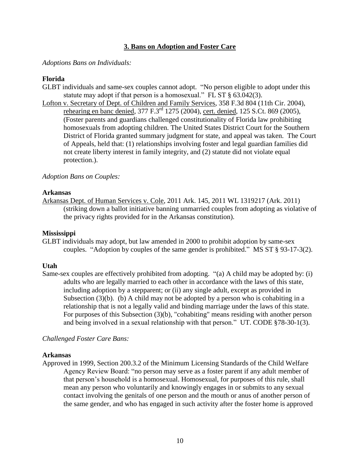# **3. Bans on Adoption and Foster Care**

#### *Adoptions Bans on Individuals:*

#### **Florida**

- GLBT individuals and same-sex couples cannot adopt. "No person eligible to adopt under this statute may adopt if that person is a homosexual." FL ST § 63.042(3).
- Lofton v. Secretary of Dept. of Children and Family Services, 358 F.3d 804 (11th Cir. 2004), rehearing en banc denied, 377 F.3<sup>rd</sup> 1275 (2004), cert. denied, 125 S.Ct. 869 (2005), (Foster parents and guardians challenged constitutionality of Florida law prohibiting homosexuals from adopting children. The United States District Court for the Southern District of Florida granted summary judgment for state, and appeal was taken. The Court of Appeals, held that: (1) relationships involving foster and legal guardian families did not create liberty interest in family integrity, and (2) statute did not violate equal protection.).

## *Adoption Bans on Couples:*

#### **Arkansas**

Arkansas Dept. of Human Services v. Cole, 2011 Ark. 145, 2011 WL 1319217 (Ark. 2011) (striking down a ballot initiative banning unmarried couples from adopting as violative of the privacy rights provided for in the Arkansas constitution).

#### **Mississippi**

GLBT individuals may adopt, but law amended in 2000 to prohibit adoption by same-sex couples. "Adoption by couples of the same gender is prohibited." MS ST § 93-17-3(2).

## **Utah**

Same-sex couples are effectively prohibited from adopting. "(a) A child may be adopted by: (i) adults who are legally married to each other in accordance with the laws of this state, including adoption by a stepparent; or (ii) any single adult, except as provided in Subsection (3)(b). (b) A child may not be adopted by a person who is cohabiting in a relationship that is not a legally valid and binding marriage under the laws of this state. For purposes of this Subsection (3)(b), "cohabiting" means residing with another person and being involved in a sexual relationship with that person." UT. CODE §78-30-1(3).

## *Challenged Foster Care Bans:*

#### **Arkansas**

Approved in 1999, Section 200.3.2 of the Minimum Licensing Standards of the Child Welfare Agency Review Board: "no person may serve as a foster parent if any adult member of that person's household is a homosexual. Homosexual, for purposes of this rule, shall mean any person who voluntarily and knowingly engages in or submits to any sexual contact involving the genitals of one person and the mouth or anus of another person of the same gender, and who has engaged in such activity after the foster home is approved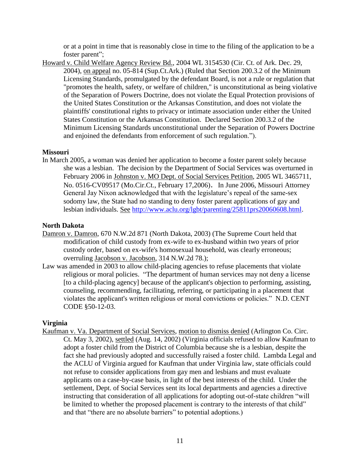or at a point in time that is reasonably close in time to the filing of the application to be a foster parent";

Howard v. Child Welfare Agency Review Bd., 2004 WL 3154530 (Cir. Ct. of Ark. Dec. 29, 2004), on appeal no. 05-814 (Sup.Ct.Ark.) (Ruled that Section 200.3.2 of the Minimum Licensing Standards, promulgated by the defendant Board, is not a rule or regulation that "promotes the health, safety, or welfare of children," is unconstitutional as being violative of the Separation of Powers Doctrine, does not violate the Equal Protection provisions of the United States Constitution or the Arkansas Constitution, and does not violate the plaintiffs' constitutional rights to privacy or intimate association under either the United States Constitution or the Arkansas Constitution. Declared Section 200.3.2 of the Minimum Licensing Standards unconstitutional under the Separation of Powers Doctrine and enjoined the defendants from enforcement of such regulation.").

# **Missouri**

In March 2005, a woman was denied her application to become a foster parent solely because she was a lesbian. The decision by the Department of Social Services was overturned in February 2006 in Johnston v. MO Dept. of Social Services Petition, 2005 WL 3465711, No. 0516-CV09517 (Mo.Cir.Ct., February 17,2006). In June 2006, Missouri Attorney General Jay Nixon acknowledged that with the legislature's repeal of the same-sex sodomy law, the State had no standing to deny foster parent applications of gay and lesbian individuals. See [http://www.aclu.org/lgbt/parenting/25811prs20060608.html.](http://www.aclu.org/lgbt/parenting/25811prs20060608.html)

# **North Dakota**

- Damron v. Damron, 670 N.W.2d 871 (North Dakota, 2003) (The Supreme Court held that modification of child custody from ex-wife to ex-husband within two years of prior custody order, based on ex-wife's homosexual household, was clearly erroneous; overruling Jacobson v. Jacobson*,* 314 N.W.2d 78.);
- Law was amended in 2003 to allow child-placing agencies to refuse placements that violate religious or moral policies. "The department of human services may not deny a license [to a child-placing agency] because of the applicant's objection to performing, assisting, counseling, recommending, facilitating, referring, or participating in a placement that violates the applicant's written religious or moral convictions or policies." N.D. CENT CODE §50-12-03.

# **Virginia**

Kaufman v. Va. Department of Social Services, motion to dismiss denied (Arlington Co. Circ. Ct. May 3, 2002), settled (Aug. 14, 2002) (Virginia officials refused to allow Kaufman to adopt a foster child from the District of Columbia because she is a lesbian, despite the fact she had previously adopted and successfully raised a foster child. Lambda Legal and the ACLU of Virginia argued for Kaufman that under Virginia law, state officials could not refuse to consider applications from gay men and lesbians and must evaluate applicants on a case-by-case basis, in light of the best interests of the child. Under the settlement, Dept. of Social Services sent its local departments and agencies a directive instructing that consideration of all applications for adopting out-of-state children "will be limited to whether the proposed placement is contrary to the interests of that child" and that "there are no absolute barriers" to potential adoptions.)